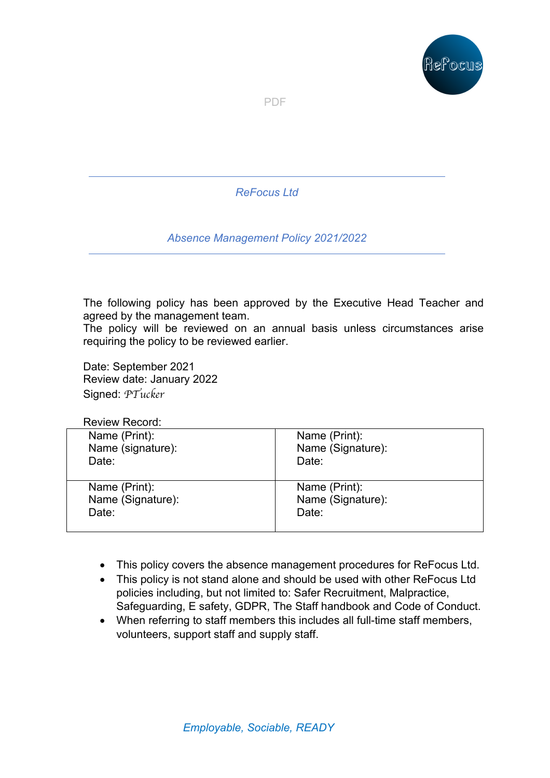

PDF

*ReFocus Ltd*

*Absence Management Policy 2021/2022*

The following policy has been approved by the Executive Head Teacher and agreed by the management team.

The policy will be reviewed on an annual basis unless circumstances arise requiring the policy to be reviewed earlier.

Date: September 2021 Review date: January 2022 Signed: *PTucker*

### Review Record:

| Name (Print):     | Name (Print):     |
|-------------------|-------------------|
| Name (signature): | Name (Signature): |
| Date:             | Date:             |
| Name (Print):     | Name (Print):     |
| Name (Signature): | Name (Signature): |
| Date:             | Date:             |

- This policy covers the absence management procedures for ReFocus Ltd.
- This policy is not stand alone and should be used with other ReFocus Ltd policies including, but not limited to: Safer Recruitment, Malpractice, Safeguarding, E safety, GDPR, The Staff handbook and Code of Conduct.
- When referring to staff members this includes all full-time staff members, volunteers, support staff and supply staff.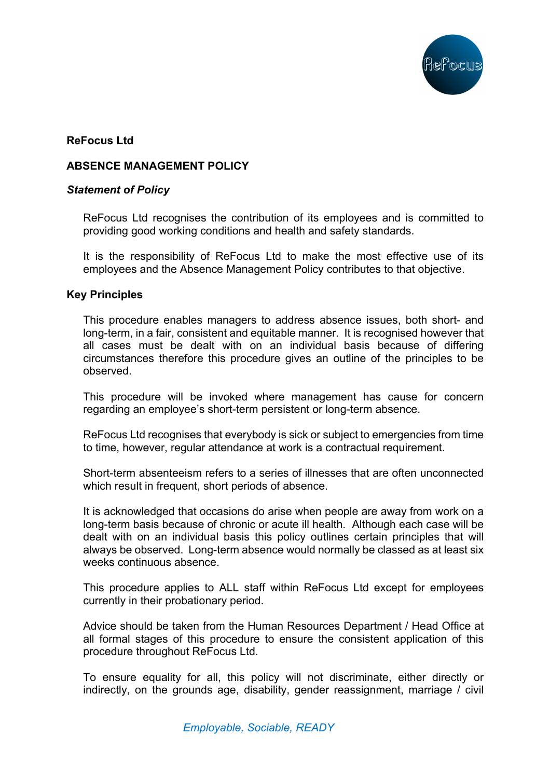

# **ReFocus Ltd**

# **ABSENCE MANAGEMENT POLICY**

### *Statement of Policy*

ReFocus Ltd recognises the contribution of its employees and is committed to providing good working conditions and health and safety standards.

It is the responsibility of ReFocus Ltd to make the most effective use of its employees and the Absence Management Policy contributes to that objective.

### **Key Principles**

This procedure enables managers to address absence issues, both short- and long-term, in a fair, consistent and equitable manner. It is recognised however that all cases must be dealt with on an individual basis because of differing circumstances therefore this procedure gives an outline of the principles to be observed.

This procedure will be invoked where management has cause for concern regarding an employee's short-term persistent or long-term absence.

ReFocus Ltd recognises that everybody is sick or subject to emergencies from time to time, however, regular attendance at work is a contractual requirement.

Short-term absenteeism refers to a series of illnesses that are often unconnected which result in frequent, short periods of absence.

It is acknowledged that occasions do arise when people are away from work on a long-term basis because of chronic or acute ill health. Although each case will be dealt with on an individual basis this policy outlines certain principles that will always be observed. Long-term absence would normally be classed as at least six weeks continuous absence.

This procedure applies to ALL staff within ReFocus Ltd except for employees currently in their probationary period.

Advice should be taken from the Human Resources Department / Head Office at all formal stages of this procedure to ensure the consistent application of this procedure throughout ReFocus Ltd.

To ensure equality for all, this policy will not discriminate, either directly or indirectly, on the grounds age, disability, gender reassignment, marriage / civil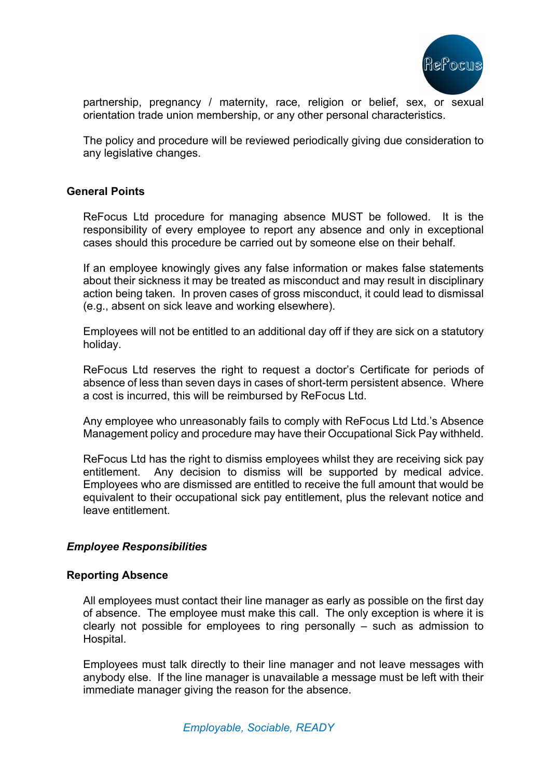

partnership, pregnancy / maternity, race, religion or belief, sex, or sexual orientation trade union membership, or any other personal characteristics.

The policy and procedure will be reviewed periodically giving due consideration to any legislative changes.

### **General Points**

ReFocus Ltd procedure for managing absence MUST be followed. It is the responsibility of every employee to report any absence and only in exceptional cases should this procedure be carried out by someone else on their behalf.

If an employee knowingly gives any false information or makes false statements about their sickness it may be treated as misconduct and may result in disciplinary action being taken. In proven cases of gross misconduct, it could lead to dismissal (e.g., absent on sick leave and working elsewhere).

Employees will not be entitled to an additional day off if they are sick on a statutory holiday.

ReFocus Ltd reserves the right to request a doctor's Certificate for periods of absence of less than seven days in cases of short-term persistent absence. Where a cost is incurred, this will be reimbursed by ReFocus Ltd.

Any employee who unreasonably fails to comply with ReFocus Ltd Ltd.'s Absence Management policy and procedure may have their Occupational Sick Pay withheld.

ReFocus Ltd has the right to dismiss employees whilst they are receiving sick pay entitlement. Any decision to dismiss will be supported by medical advice. Employees who are dismissed are entitled to receive the full amount that would be equivalent to their occupational sick pay entitlement, plus the relevant notice and leave entitlement.

## *Employee Responsibilities*

### **Reporting Absence**

All employees must contact their line manager as early as possible on the first day of absence. The employee must make this call. The only exception is where it is clearly not possible for employees to ring personally – such as admission to Hospital.

Employees must talk directly to their line manager and not leave messages with anybody else. If the line manager is unavailable a message must be left with their immediate manager giving the reason for the absence.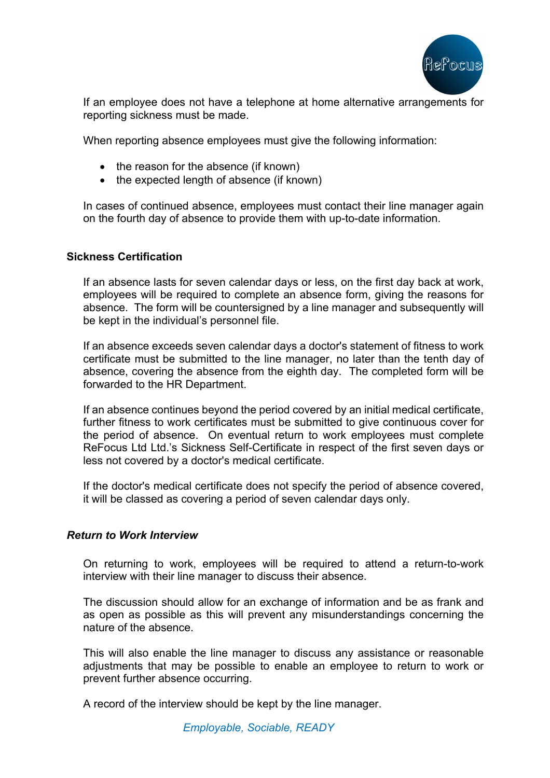

If an employee does not have a telephone at home alternative arrangements for reporting sickness must be made.

When reporting absence employees must give the following information:

- the reason for the absence (if known)
- the expected length of absence (if known)

In cases of continued absence, employees must contact their line manager again on the fourth day of absence to provide them with up-to-date information.

### **Sickness Certification**

If an absence lasts for seven calendar days or less, on the first day back at work, employees will be required to complete an absence form, giving the reasons for absence. The form will be countersigned by a line manager and subsequently will be kept in the individual's personnel file.

If an absence exceeds seven calendar days a doctor's statement of fitness to work certificate must be submitted to the line manager, no later than the tenth day of absence, covering the absence from the eighth day. The completed form will be forwarded to the HR Department.

If an absence continues beyond the period covered by an initial medical certificate, further fitness to work certificates must be submitted to give continuous cover for the period of absence. On eventual return to work employees must complete ReFocus Ltd Ltd.'s Sickness Self-Certificate in respect of the first seven days or less not covered by a doctor's medical certificate.

If the doctor's medical certificate does not specify the period of absence covered, it will be classed as covering a period of seven calendar days only.

### *Return to Work Interview*

On returning to work, employees will be required to attend a return-to-work interview with their line manager to discuss their absence.

The discussion should allow for an exchange of information and be as frank and as open as possible as this will prevent any misunderstandings concerning the nature of the absence.

This will also enable the line manager to discuss any assistance or reasonable adjustments that may be possible to enable an employee to return to work or prevent further absence occurring.

A record of the interview should be kept by the line manager.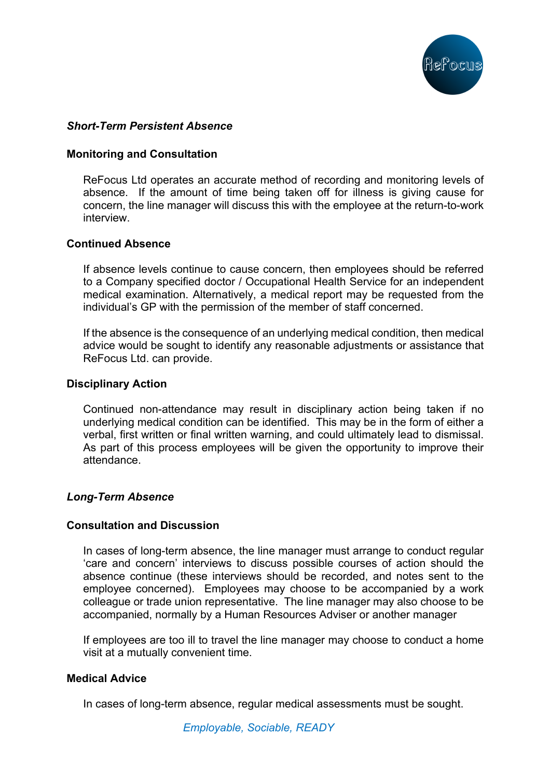

## *Short-Term Persistent Absence*

### **Monitoring and Consultation**

ReFocus Ltd operates an accurate method of recording and monitoring levels of absence. If the amount of time being taken off for illness is giving cause for concern, the line manager will discuss this with the employee at the return-to-work interview.

### **Continued Absence**

If absence levels continue to cause concern, then employees should be referred to a Company specified doctor / Occupational Health Service for an independent medical examination. Alternatively, a medical report may be requested from the individual's GP with the permission of the member of staff concerned.

If the absence is the consequence of an underlying medical condition, then medical advice would be sought to identify any reasonable adjustments or assistance that ReFocus Ltd. can provide.

### **Disciplinary Action**

Continued non-attendance may result in disciplinary action being taken if no underlying medical condition can be identified. This may be in the form of either a verbal, first written or final written warning, and could ultimately lead to dismissal. As part of this process employees will be given the opportunity to improve their attendance.

## *Long-Term Absence*

### **Consultation and Discussion**

In cases of long-term absence, the line manager must arrange to conduct regular 'care and concern' interviews to discuss possible courses of action should the absence continue (these interviews should be recorded, and notes sent to the employee concerned). Employees may choose to be accompanied by a work colleague or trade union representative. The line manager may also choose to be accompanied, normally by a Human Resources Adviser or another manager

If employees are too ill to travel the line manager may choose to conduct a home visit at a mutually convenient time.

### **Medical Advice**

In cases of long-term absence, regular medical assessments must be sought.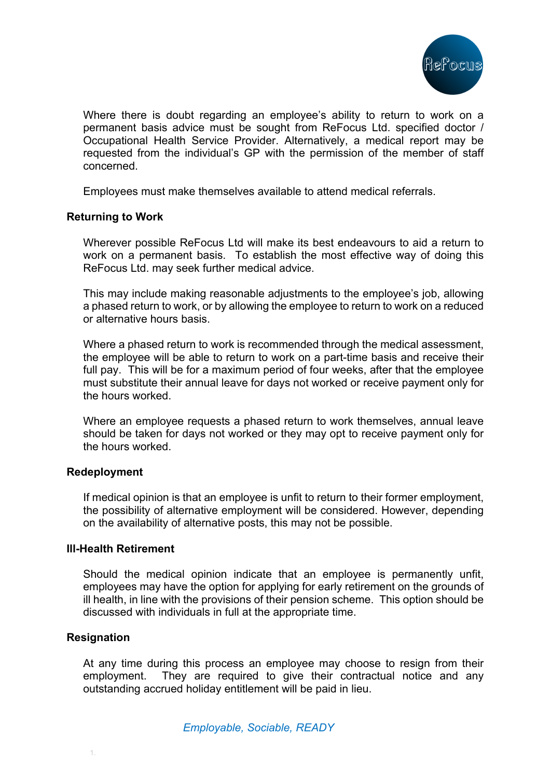

Where there is doubt regarding an employee's ability to return to work on a permanent basis advice must be sought from ReFocus Ltd. specified doctor / Occupational Health Service Provider. Alternatively, a medical report may be requested from the individual's GP with the permission of the member of staff concerned.

Employees must make themselves available to attend medical referrals.

## **Returning to Work**

Wherever possible ReFocus Ltd will make its best endeavours to aid a return to work on a permanent basis. To establish the most effective way of doing this ReFocus Ltd. may seek further medical advice.

This may include making reasonable adjustments to the employee's job, allowing a phased return to work, or by allowing the employee to return to work on a reduced or alternative hours basis.

Where a phased return to work is recommended through the medical assessment, the employee will be able to return to work on a part-time basis and receive their full pay. This will be for a maximum period of four weeks, after that the employee must substitute their annual leave for days not worked or receive payment only for the hours worked.

Where an employee requests a phased return to work themselves, annual leave should be taken for days not worked or they may opt to receive payment only for the hours worked.

## **Redeployment**

If medical opinion is that an employee is unfit to return to their former employment, the possibility of alternative employment will be considered. However, depending on the availability of alternative posts, this may not be possible.

### **Ill-Health Retirement**

Should the medical opinion indicate that an employee is permanently unfit, employees may have the option for applying for early retirement on the grounds of ill health, in line with the provisions of their pension scheme. This option should be discussed with individuals in full at the appropriate time.

### **Resignation**

At any time during this process an employee may choose to resign from their employment. They are required to give their contractual notice and any outstanding accrued holiday entitlement will be paid in lieu.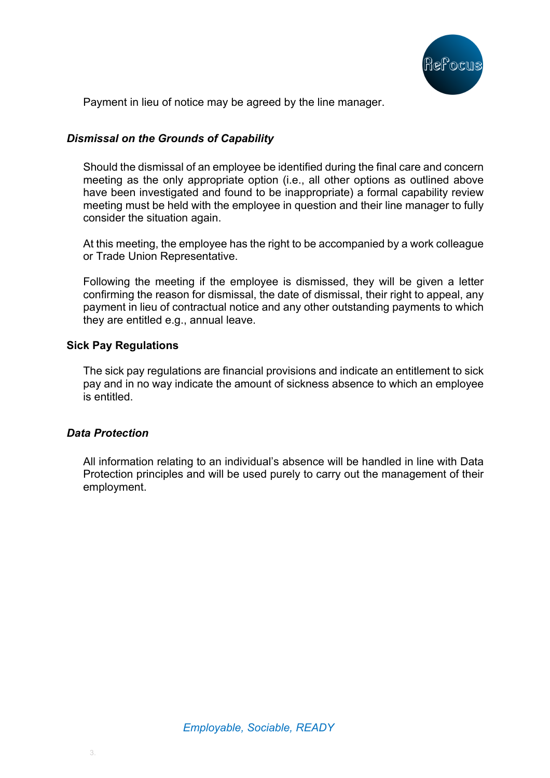

Payment in lieu of notice may be agreed by the line manager.

# *Dismissal on the Grounds of Capability*

Should the dismissal of an employee be identified during the final care and concern meeting as the only appropriate option (i.e., all other options as outlined above have been investigated and found to be inappropriate) a formal capability review meeting must be held with the employee in question and their line manager to fully consider the situation again.

At this meeting, the employee has the right to be accompanied by a work colleague or Trade Union Representative.

Following the meeting if the employee is dismissed, they will be given a letter confirming the reason for dismissal, the date of dismissal, their right to appeal, any payment in lieu of contractual notice and any other outstanding payments to which they are entitled e.g., annual leave.

## **Sick Pay Regulations**

The sick pay regulations are financial provisions and indicate an entitlement to sick pay and in no way indicate the amount of sickness absence to which an employee is entitled.

## *Data Protection*

All information relating to an individual's absence will be handled in line with Data Protection principles and will be used purely to carry out the management of their employment.